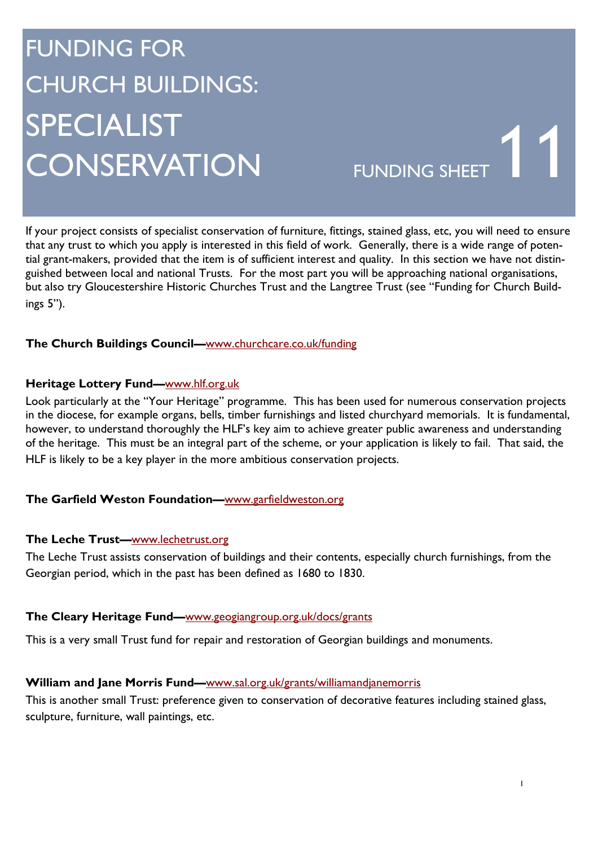# FUNDING FOR CHURCH BUILDINGS: SPECIALIST SI LUIALIST<br>CONSERVATION FUNDING SHEET

If your project consists of specialist conservation of furniture, fittings, stained glass, etc, you will need to ensure that any trust to which you apply is interested in this field of work. Generally, there is a wide range of potential grant-makers, provided that the item is of sufficient interest and quality. In this section we have not distinguished between local and national Trusts. For the most part you will be approaching national organisations, but also try Gloucestershire Historic Churches Trust and the Langtree Trust (see "Funding for Church Buildings 5").

### **The Church Buildings Council—**www.churchcare.co.uk/funding

#### **Heritage Lottery Fund—**www.hlf.org.uk

Look particularly at the "Your Heritage" programme. This has been used for numerous conservation projects in the diocese, for example organs, bells, timber furnishings and listed churchyard memorials. It is fundamental, however, to understand thoroughly the HLF's key aim to achieve greater public awareness and understanding of the heritage. This must be an integral part of the scheme, or your application is likely to fail. That said, the HLF is likely to be a key player in the more ambitious conservation projects.

#### **The Garfield Weston Foundation—**www.garfieldweston.org

#### **The Leche Trust—**www.lechetrust.org

The Leche Trust assists conservation of buildings and their contents, especially church furnishings, from the Georgian period, which in the past has been defined as 1680 to 1830.

#### **The Cleary Heritage Fund—**www.geogiangroup.org.uk/docs/grants

This is a very small Trust fund for repair and restoration of Georgian buildings and monuments.

#### **William and Jane Morris Fund—**www.sal.org.uk/grants/williamandjanemorris

This is another small Trust: preference given to conservation of decorative features including stained glass, sculpture, furniture, wall paintings, etc.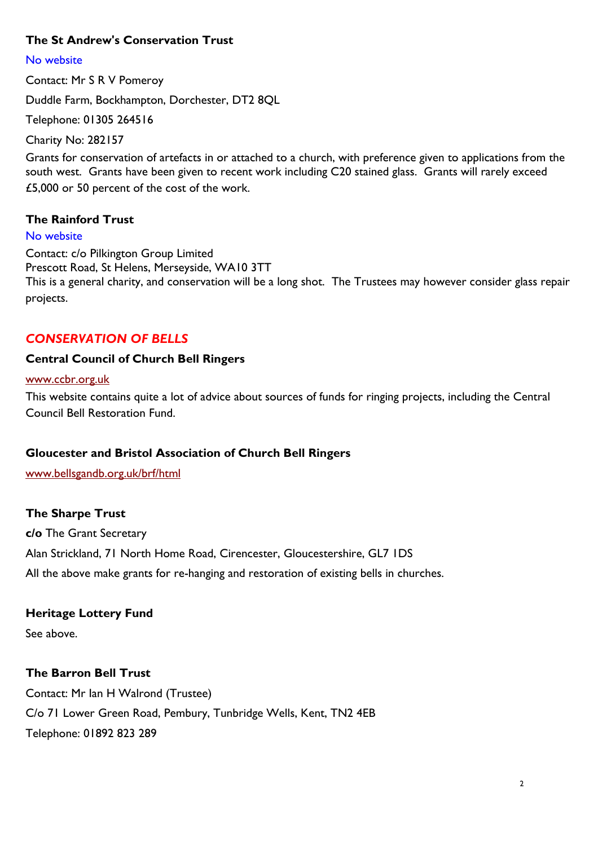### **The St Andrew's Conservation Trust**

No website Contact: Mr S R V Pomeroy Duddle Farm, Bockhampton, Dorchester, DT2 8QL Telephone: 01305 264516

Charity No: 282157

Grants for conservation of artefacts in or attached to a church, with preference given to applications from the south west. Grants have been given to recent work including C20 stained glass. Grants will rarely exceed £5,000 or 50 percent of the cost of the work.

#### **The Rainford Trust**

#### No website

Contact: c/o Pilkington Group Limited Prescott Road, St Helens, Merseyside, WA10 3TT This is a general charity, and conservation will be a long shot. The Trustees may however consider glass repair projects.

#### *CONSERVATION OF BELLS*

#### **Central Council of Church Bell Ringers**

#### www.ccbr.org.uk

This website contains quite a lot of advice about sources of funds for ringing projects, including the Central Council Bell Restoration Fund.

#### **Gloucester and Bristol Association of Church Bell Ringers**

www.bellsgandb.org.uk/brf/html

#### **The Sharpe Trust**

**c/o** The Grant Secretary Alan Strickland, 71 North Home Road, Cirencester, Gloucestershire, GL7 1DS All the above make grants for re-hanging and restoration of existing bells in churches.

#### **Heritage Lottery Fund**

See above.

#### **The Barron Bell Trust**

Contact: Mr Ian H Walrond (Trustee) C/o 71 Lower Green Road, Pembury, Tunbridge Wells, Kent, TN2 4EB Telephone: 01892 823 289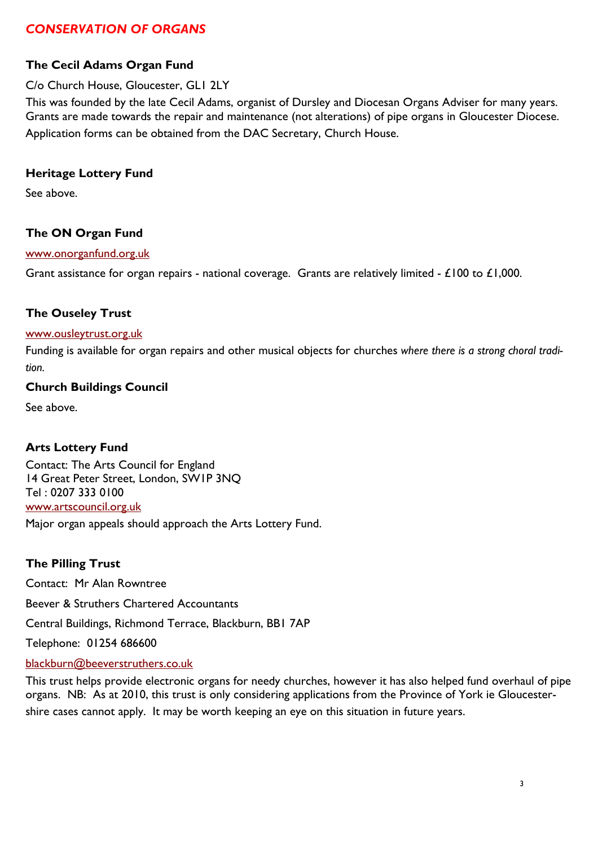# *CONSERVATION OF ORGANS*

# **The Cecil Adams Organ Fund**

#### C/o Church House, Gloucester, GL1 2LY

This was founded by the late Cecil Adams, organist of Dursley and Diocesan Organs Adviser for many years. Grants are made towards the repair and maintenance (not alterations) of pipe organs in Gloucester Diocese. Application forms can be obtained from the DAC Secretary, Church House.

#### **Heritage Lottery Fund**

See above.

### **The ON Organ Fund**

#### www.onorganfund.org.uk

Grant assistance for organ repairs - national coverage. Grants are relatively limited -  $£100$  to  $£1,000$ .

### **The Ouseley Trust**

#### www.ousleytrust.org.uk

Funding is available for organ repairs and other musical objects for churches *where there is a strong choral tradition.*

#### **Church Buildings Council**

See above.

## **Arts Lottery Fund**

Contact: The Arts Council for England 14 Great Peter Street, London, SW1P 3NQ Tel : 0207 333 0100 www.artscouncil.org.uk Major organ appeals should approach the Arts Lottery Fund.

#### **The Pilling Trust**

Contact: Mr Alan Rowntree Beever & Struthers Chartered Accountants Central Buildings, Richmond Terrace, Blackburn, BB1 7AP Telephone: 01254 686600 blackburn@beeverstruthers.co.uk

This trust helps provide electronic organs for needy churches, however it has also helped fund overhaul of pipe organs. NB: As at 2010, this trust is only considering applications from the Province of York ie Gloucestershire cases cannot apply. It may be worth keeping an eye on this situation in future years.